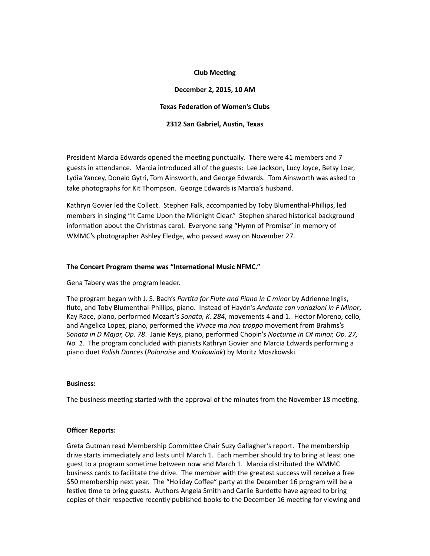### **Club Meeting**

# **December 2, 2015, 10 AM**

#### **Texas Federation of Women's Clubs**

#### **2312 San Gabriel, Austin, Texas**

President Marcia Edwards opened the meeting punctually. There were 41 members and 7 guests in attendance. Marcia introduced all of the guests: Lee Jackson, Lucy Joyce, Betsy Loar, Lydia Yancey, Donald Gytri, Tom Ainsworth, and George Edwards. Tom Ainsworth was asked to take photographs for Kit Thompson. George Edwards is Marcia's husband.

Kathryn Govier led the Collect. Stephen Falk, accompanied by Toby Blumenthal-Phillips, led members in singing "It Came Upon the Midnight Clear." Stephen shared historical background information about the Christmas carol. Everyone sang "Hymn of Promise" in memory of WMMC's photographer Ashley Eledge, who passed away on November 27.

#### The Concert Program theme was "International Music NFMC."

Gena Tabery was the program leader.

The program began with J. S. Bach's *Partita for Flute and Piano in C minor* by Adrienne Inglis, flute, and Toby Blumenthal-Phillips, piano. Instead of Haydn's *Andante con variazioni in F Minor*, Kay Race, piano, performed Mozart's Sonata, K. 284, movements 4 and 1. Hector Moreno, cello, and Angelica Lopez, piano, performed the *Vivace ma non troppo* movement from Brahms's *Sonata in D Major, Op. 78. Janie Keys, piano, performed Chopin's Nocturne in C# minor, Op. 27, No. 1.* The program concluded with pianists Kathryn Govier and Marcia Edwards performing a piano duet *Polish Dances* (*Polonaise* and *Krakowiak*) by Moritz Moszkowski.

#### **Business:**

The business meeting started with the approval of the minutes from the November 18 meeting.

# **Officer Reports:**

Greta Gutman read Membership Committee Chair Suzy Gallagher's report. The membership drive starts immediately and lasts until March 1. Each member should try to bring at least one guest to a program sometime between now and March 1. Marcia distributed the WMMC business cards to facilitate the drive. The member with the greatest success will receive a free \$50 membership next year. The "Holiday Coffee" party at the December 16 program will be a festive time to bring guests. Authors Angela Smith and Carlie Burdette have agreed to bring copies of their respective recently published books to the December 16 meeting for viewing and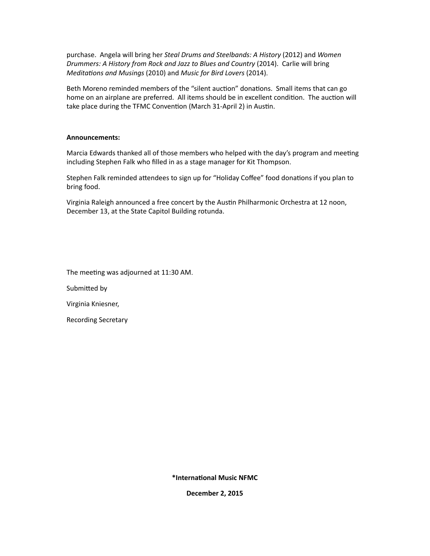purchase. Angela will bring her *Steal Drums and Steelbands: A History* (2012) and *Women Drummers: A History from Rock and Jazz to Blues and Country* (2014). Carlie will bring *Meditations and Musings* (2010) and *Music for Bird Lovers* (2014).

Beth Moreno reminded members of the "silent auction" donations. Small items that can go home on an airplane are preferred. All items should be in excellent condition. The auction will take place during the TFMC Convention (March 31-April 2) in Austin.

# **Announcements:**

Marcia Edwards thanked all of those members who helped with the day's program and meeting including Stephen Falk who filled in as a stage manager for Kit Thompson.

Stephen Falk reminded attendees to sign up for "Holiday Coffee" food donations if you plan to bring food.

Virginia Raleigh announced a free concert by the Austin Philharmonic Orchestra at 12 noon, December 13, at the State Capitol Building rotunda.

The meeting was adjourned at 11:30 AM.

Submitted by

Virginia Kniesner,

Recording Secretary

**\*International Music NFMC** 

**December 2, 2015**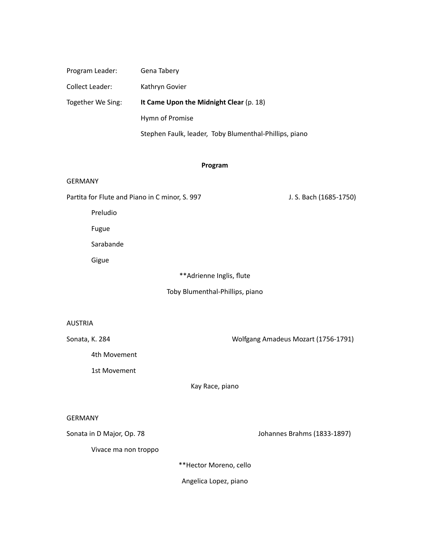| Program Leader:                                | Gena Tabery                                            |                                     |
|------------------------------------------------|--------------------------------------------------------|-------------------------------------|
| Collect Leader:                                | Kathryn Govier                                         |                                     |
| Together We Sing:                              | It Came Upon the Midnight Clear (p. 18)                |                                     |
|                                                | Hymn of Promise                                        |                                     |
|                                                | Stephen Faulk, leader, Toby Blumenthal-Phillips, piano |                                     |
|                                                |                                                        |                                     |
| Program                                        |                                                        |                                     |
| <b>GERMANY</b>                                 |                                                        |                                     |
| Partita for Flute and Piano in C minor, S. 997 |                                                        | J. S. Bach (1685-1750)              |
| Preludio                                       |                                                        |                                     |
| Fugue                                          |                                                        |                                     |
| Sarabande                                      |                                                        |                                     |
| Gigue                                          |                                                        |                                     |
| ** Adrienne Inglis, flute                      |                                                        |                                     |
| Toby Blumenthal-Phillips, piano                |                                                        |                                     |
|                                                |                                                        |                                     |
| <b>AUSTRIA</b>                                 |                                                        |                                     |
| Sonata, K. 284                                 |                                                        | Wolfgang Amadeus Mozart (1756-1791) |
| 4th Movement                                   |                                                        |                                     |
| 1st Movement                                   |                                                        |                                     |
| Kay Race, piano                                |                                                        |                                     |
|                                                |                                                        |                                     |
| <b>GERMANY</b>                                 |                                                        |                                     |
| Sonata in D Major, Op. 78                      |                                                        | Johannes Brahms (1833-1897)         |
| Vivace ma non troppo                           |                                                        |                                     |
| **Hector Moreno, cello                         |                                                        |                                     |
|                                                | Angelica Lopez, piano                                  |                                     |
|                                                |                                                        |                                     |